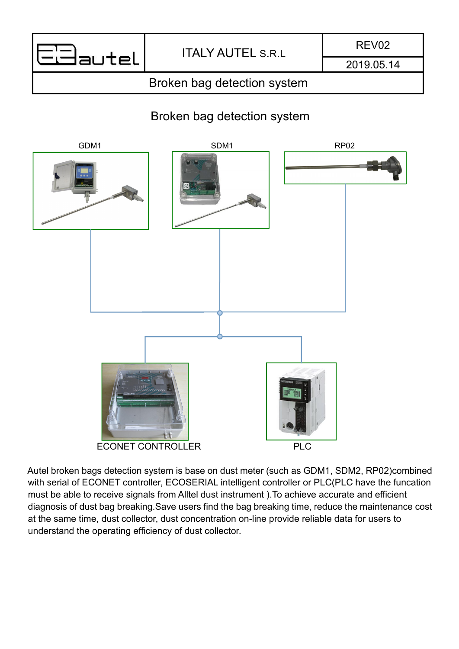

2019.05.14

# Broken bag detection system

# Broken bag detection system



Autel broken bags detection system is base on dust meter (such as GDM1, SDM2, RP02)combined with serial of ECONET controller, ECOSERIAL intelligent controller or PLC(PLC have the funcation must be able to receive signals from Alltel dust instrument ).To achieve accurate and efficient diagnosis of dust bag breaking.Save users find the bag breaking time, reduce the maintenance cost at the same time, dust collector, dust concentration on-line provide reliable data for users to understand the operating efficiency of dust collector.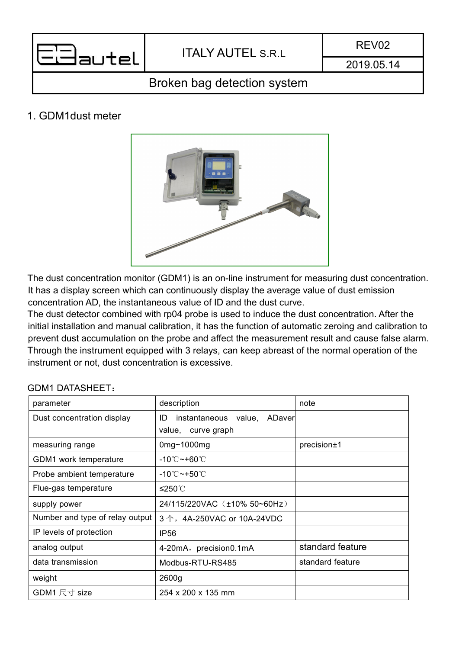

2019.05.14

## Broken bag detection system

### 1. GDM1dust meter



The dust concentration monitor (GDM1) is an on-line instrument for measuring dust concentration. It has a display screen which can continuously display the average value of dust emission concentration AD, the instantaneous value of ID and the dust curve.

The dust detector combined with rp04 probe is used to induce the dust concentration. After the initial installation and manual calibration, it has the function of automatic zeroing and calibration to prevent dust accumulation on the probe and affect the measurement result and cause false alarm. Through the instrument equipped with 3 relays, can keep abreast of the normal operation of the instrument or not, dust concentration is excessive.

| parameter                       | description                                                | note             |
|---------------------------------|------------------------------------------------------------|------------------|
| Dust concentration display      | instantaneous value,<br>ID<br>ADaver<br>value, curve graph |                  |
| measuring range                 | 0 $mg$ ~1000 $mg$                                          | precision±1      |
| GDM1 work temperature           | -10℃~+60℃                                                  |                  |
| Probe ambient temperature       | $-10^{\circ}$ C ~+50 $^{\circ}$ C                          |                  |
| Flue-gas temperature            | ≤250℃                                                      |                  |
| supply power                    | 24/115/220VAC (±10% 50~60Hz)                               |                  |
| Number and type of relay output | $3 \uparrow$ , 4A-250VAC or 10A-24VDC                      |                  |
| IP levels of protection         | <b>IP56</b>                                                |                  |
| analog output                   | 4-20mA, precision0.1mA                                     | standard feature |
| data transmission               | Modbus-RTU-RS485                                           | standard feature |
| weight                          | 2600g                                                      |                  |
| GDM1 尺寸 size                    | 254 x 200 x 135 mm                                         |                  |

#### GDM1 DATASHEET: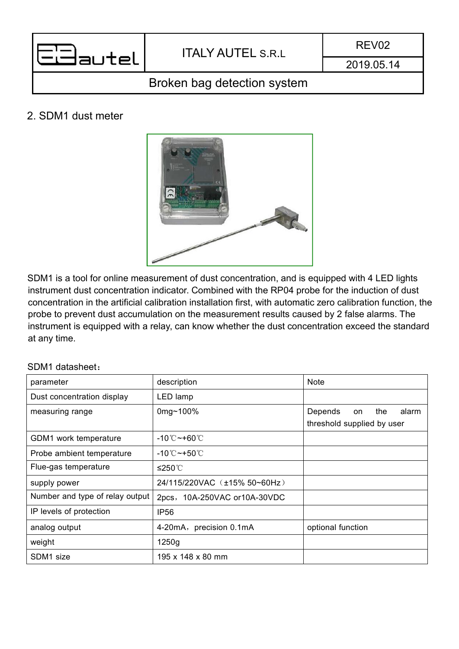

REV02

2019.05.14

# Broken bag detection system

### 2. SDM1 dust meter



SDM1 is a tool for online measurement of dust concentration, and is equipped with 4 LED lights instrument dust concentration indicator. Combined with the RP04 probe for the induction of dust concentration in the artificial calibration installation first, with automatic zero calibration function, the probe to prevent dust accumulation on the measurement results caused by 2 false alarms. The instrument is equipped with a relay, can know whether the dust concentration exceed the standard at any time.

#### SDM1 datasheet:

| parameter                       | description                             | <b>Note</b>                                                 |
|---------------------------------|-----------------------------------------|-------------------------------------------------------------|
| Dust concentration display      | LED lamp                                |                                                             |
| measuring range                 | 0mg~100%                                | Depends<br>the<br>alarm<br>on<br>threshold supplied by user |
| GDM1 work temperature           | $-10^{\circ}$ C $\sim$ +60 $^{\circ}$ C |                                                             |
| Probe ambient temperature       | -10 $^\circ$ C $\sim$ +50 $^\circ$ C    |                                                             |
| Flue-gas temperature            | ≤250℃                                   |                                                             |
| supply power                    | 24/115/220VAC (±15% 50~60Hz)            |                                                             |
| Number and type of relay output | 2pcs, 10A-250VAC or10A-30VDC            |                                                             |
| IP levels of protection         | <b>IP56</b>                             |                                                             |
| analog output                   | 4-20mA, precision 0.1mA                 | optional function                                           |
| weight                          | 1250g                                   |                                                             |
| SDM1 size                       | 195 x 148 x 80 mm                       |                                                             |
|                                 |                                         |                                                             |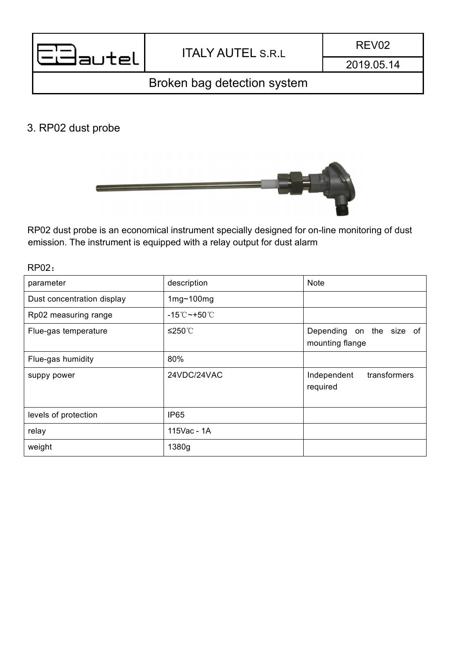| 72<br>٠<br>v<br>×<br>× |
|------------------------|
|                        |

2019.05.14

# Broken bag detection system

### 3. RP02 dust probe



RP02 dust probe is an economical instrument specially designed for on-line monitoring of dust emission. The instrument is equipped with a relay output for dust alarm

RP02:

| parameter                  | description                        | Note                                        |
|----------------------------|------------------------------------|---------------------------------------------|
| Dust concentration display | $1mg - 100mg$                      |                                             |
| Rp02 measuring range       | -15 $^{\circ}$ C ~+50 $^{\circ}$ C |                                             |
| Flue-gas temperature       | ≤250℃                              | Depending on the size of<br>mounting flange |
| Flue-gas humidity          | 80%                                |                                             |
| suppy power                | 24VDC/24VAC                        | transformers<br>Independent<br>required     |
| levels of protection       | <b>IP65</b>                        |                                             |
| relay                      | 115Vac - 1A                        |                                             |
| weight                     | 1380g                              |                                             |
|                            |                                    |                                             |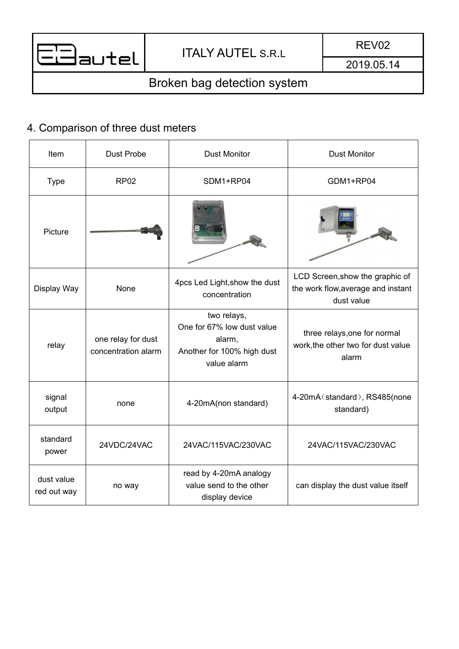

# Broken bag detection system

# 4. Comparison of three dust meters

| Item                      | <b>Dust Probe</b>                         | <b>Dust Monitor</b>                                                                              | <b>Dust Monitor</b>                                                                 |
|---------------------------|-------------------------------------------|--------------------------------------------------------------------------------------------------|-------------------------------------------------------------------------------------|
| <b>Type</b>               | <b>RP02</b>                               | SDM1+RP04                                                                                        | GDM1+RP04                                                                           |
| Picture                   |                                           |                                                                                                  |                                                                                     |
| Display Way               | None                                      | 4pcs Led Light, show the dust<br>concentration                                                   | LCD Screen, show the graphic of<br>the work flow, average and instant<br>dust value |
| relay                     | one relay for dust<br>concentration alarm | two relays,<br>One for 67% low dust value<br>alarm,<br>Another for 100% high dust<br>value alarm | three relays, one for normal<br>work, the other two for dust value<br>alarm         |
| signal<br>output          | none                                      | 4-20mA(non standard)                                                                             | 4-20mA (standard), RS485(none<br>standard)                                          |
| standard<br>power         | 24VDC/24VAC                               | 24VAC/115VAC/230VAC                                                                              | 24VAC/115VAC/230VAC                                                                 |
| dust value<br>red out way | no way                                    | read by 4-20mA analogy<br>value send to the other<br>display device                              | can display the dust value itself                                                   |